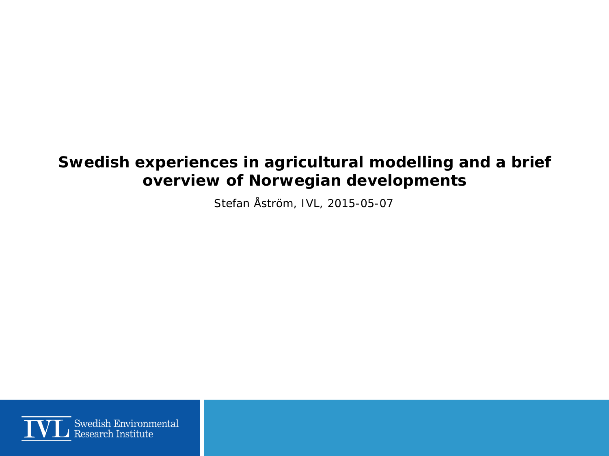#### **Swedish experiences in agricultural modelling and a brief overview of Norwegian developments**

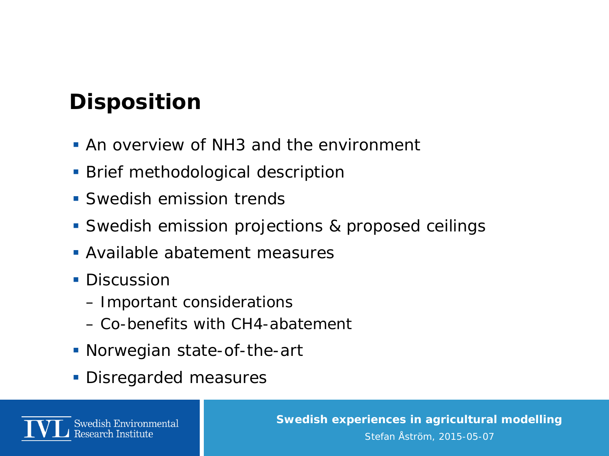# **Disposition**

- **An overview of NH3 and the environment**
- **Brief methodological description**
- **Swedish emission trends**
- **Swedish emission projections & proposed ceilings**
- Available abatement measures
- Discussion
	- Important considerations
	- Co-benefits with CH4-abatement
- Norwegian state-of-the-art
- Disregarded measures



**Swedish experiences in agricultural modelling**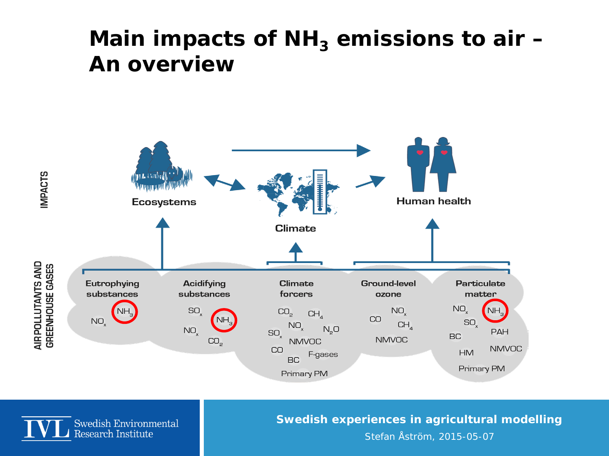#### Main impacts of NH<sub>3</sub> emissions to air -**An overview**





**Swedish experiences in agricultural modelling**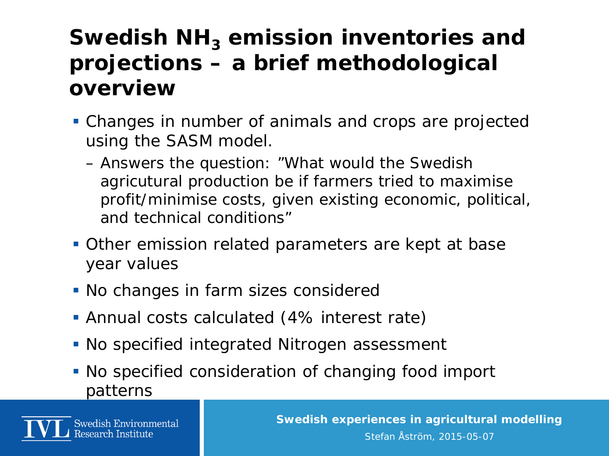### **Swedish NH<sub>3</sub> emission inventories and projections – a brief methodological overview**

- Changes in number of animals and crops are projected using the SASM model.
	- Answers the question: "What would the Swedish agricutural production be if farmers tried to maximise profit/minimise costs, given existing economic, political, and technical conditions"
- Other emission related parameters are kept at base year values
- No changes in farm sizes considered
- Annual costs calculated (4% interest rate)
- **No specified integrated Nitrogen assessment**
- No specified consideration of changing food import patterns



**Swedish experiences in agricultural modelling** Stefan Åström, 2015-05-07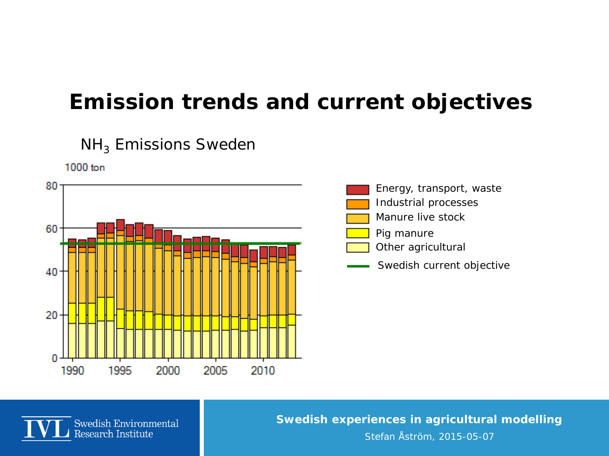#### **Emission trends and current objectives**



Swedish Environmental Research Institute

 $NH<sub>3</sub>$  Emissions Sweden



Energy, transport, waste

Industrial processes



- Pig manure
- Other agricultural
- Swedish current objective

**Swedish experiences in agricultural modelling**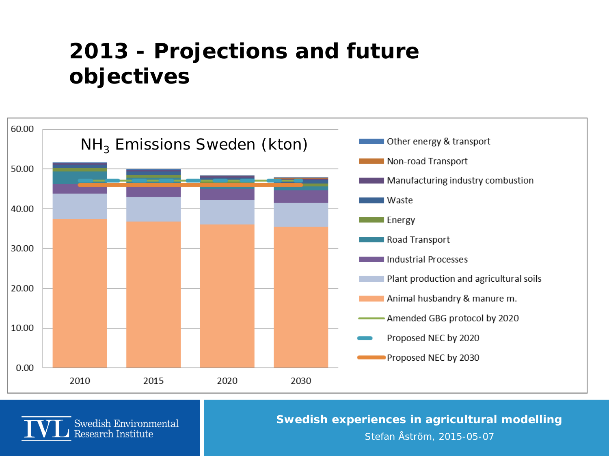### **2013 - Projections and future objectives**





**Swedish experiences in agricultural modelling**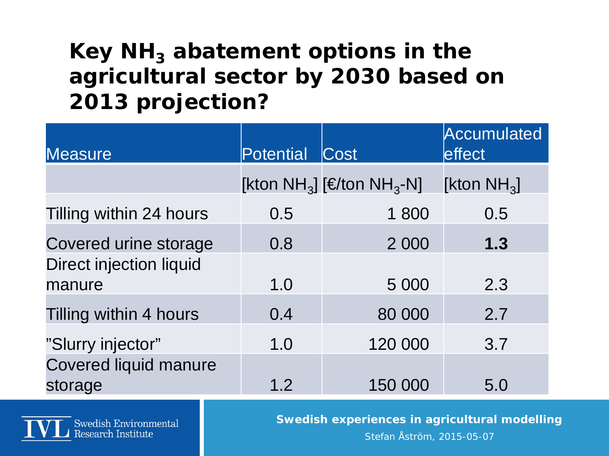#### **Key NH<sub>3</sub> abatement options in the agricultural sector by 2030 based on 2013 projection?**

| <b>Measure</b>                 | Potential | Cost                                               | Accumulated<br>effect |
|--------------------------------|-----------|----------------------------------------------------|-----------------------|
|                                |           | [kton NH <sub>3</sub> ] [€/ton NH <sub>3</sub> -N] | [kton $NH3$ ]         |
| Tilling within 24 hours        | 0.5       | 1800                                               | 0.5                   |
| Covered urine storage          | 0.8       | 2 0 0 0                                            | 1.3                   |
| <b>Direct injection liquid</b> |           |                                                    | 2.3                   |
| manure                         | 1.0       | 5 0 0 0                                            |                       |
| Tilling within 4 hours         | 0.4       | 80 000                                             | 2.7                   |
| "Slurry injector"              | 1.0       | 120 000                                            | 3.7                   |
| <b>Covered liquid manure</b>   |           |                                                    |                       |
| storage                        | 1.2       | 150 000                                            | 5.0                   |



**Swedish experiences in agricultural modelling**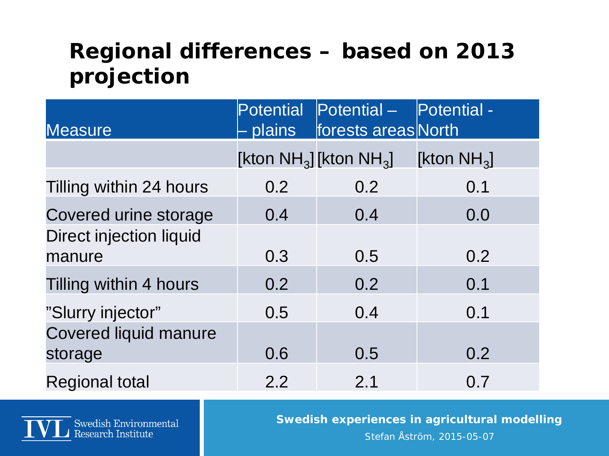# **Regional differences – based on 2013 projection**

| <b>Measure</b>                           | plains                      | Potential Potential-<br>forests areas North | Potential -   |
|------------------------------------------|-----------------------------|---------------------------------------------|---------------|
|                                          | [kton $NH3$ ] [kton $NH3$ ] |                                             | [kton $NH3$ ] |
| Tilling within 24 hours                  | 0.2                         | 0.2                                         | 0.1           |
| Covered urine storage                    | 0.4                         | 0.4                                         | 0.0           |
| <b>Direct injection liquid</b><br>manure | 0.3                         | 0.5                                         | 0.2           |
| Tilling within 4 hours                   | 0.2                         | 0.2                                         | 0.1           |
| "Slurry injector"                        | 0.5                         | 0.4                                         | 0.1           |
| <b>Covered liquid manure</b><br>storage  | 0.6                         | 0.5                                         | 0.2           |
| <b>Regional total</b>                    | 2.2                         | 2.1                                         | 0.7           |



**Swedish experiences in agricultural modelling**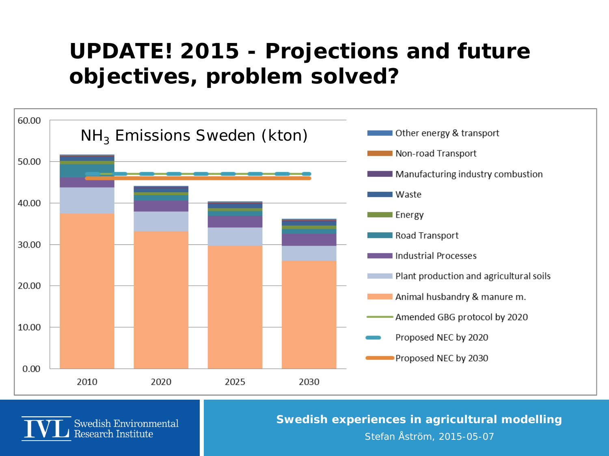#### **UPDATE! 2015 - Projections and future objectives, problem solved?**

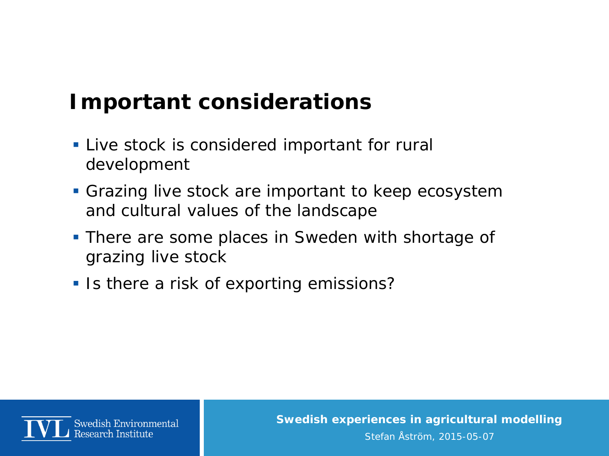### **Important considerations**

- **Live stock is considered important for rural** development
- Grazing live stock are important to keep ecosystem and cultural values of the landscape
- There are some places in Sweden with shortage of grazing live stock
- **IF Is there a risk of exporting emissions?**



**Swedish experiences in agricultural modelling**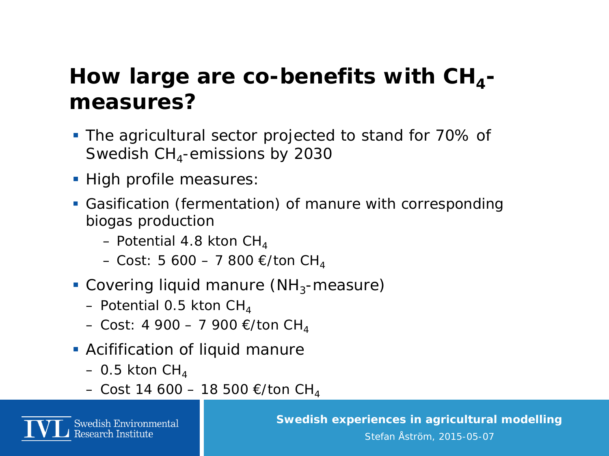#### How large are co-benefits with CH<sub>4</sub>**measures?**

- **The agricultural sector projected to stand for 70% of** Swedish  $CH<sub>4</sub>$ -emissions by 2030
- **High profile measures:**
- Gasification (fermentation) of manure with corresponding biogas production
	- Potential 4.8 kton  $CH<sub>4</sub>$
	- Cost: 5 600 7 800 €/ton CH<sub>4</sub>
- Covering liquid manure ( $NH<sub>3</sub>$ -measure)
	- Potential 0.5 kton  $CH<sub>4</sub>$
	- Cost: 4 900 7 900 €/ton CH<sub>4</sub>
- Acifification of liquid manure
	- 0.5 kton  $CH<sub>4</sub>$
	- Cost 14 600 18 500 €/ton CH<sub>4</sub>



**Swedish experiences in agricultural modelling**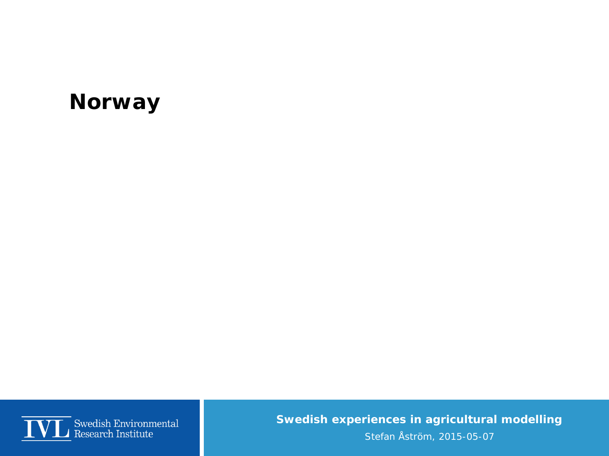#### **Norway**



**Swedish experiences in agricultural modelling**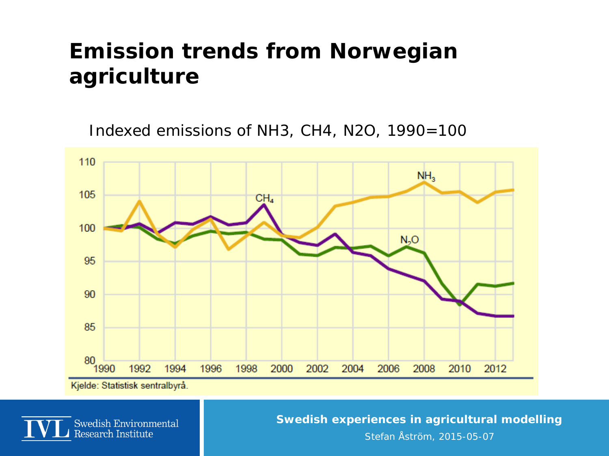#### **Emission trends from Norwegian agriculture**

Indexed emissions of NH3, CH4, N2O, 1990=100



Swedish Environmental Research Institute

**Swedish experiences in agricultural modelling**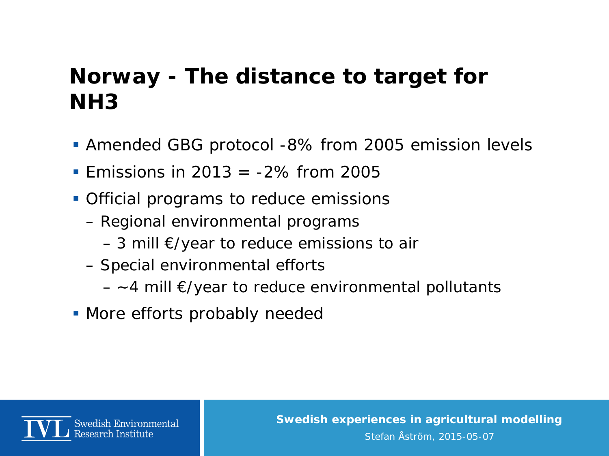#### **Norway - The distance to target for NH3**

- Amended GBG protocol -8% from 2005 emission levels
- **Emissions in 2013 =**  $-2\%$  **from 2005**
- Official programs to reduce emissions
	- Regional environmental programs
		- $-$  3 mill  $\epsilon$ /year to reduce emissions to air
	- Special environmental efforts
		- $-$  ~4 mill  $\epsilon$ /year to reduce environmental pollutants
- More efforts probably needed



**Swedish experiences in agricultural modelling** Stefan Åström, 2015-05-07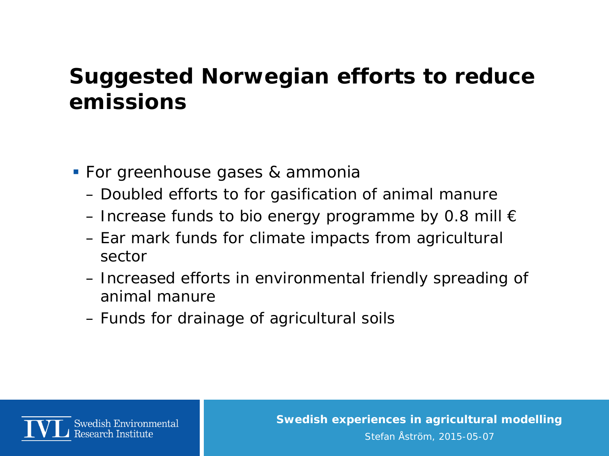#### **Suggested Norwegian efforts to reduce emissions**

- For greenhouse gases & ammonia
	- Doubled efforts to for gasification of animal manure
	- Increase funds to bio energy programme by 0.8 mill  $\epsilon$
	- Ear mark funds for climate impacts from agricultural sector
	- Increased efforts in environmental friendly spreading of animal manure
	- Funds for drainage of agricultural soils



**Swedish experiences in agricultural modelling** Stefan Åström, 2015-05-07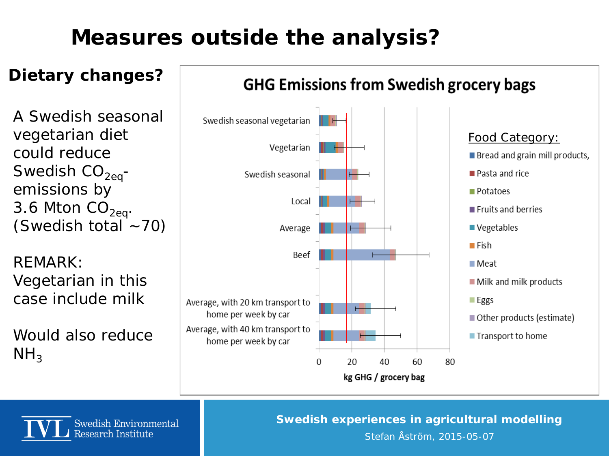### **Measures outside the analysis?**

#### **Dietary changes?**

A Swedish seasonal vegetarian diet could reduce Swedish  $CO<sub>2ea</sub>$ emissions by 3.6 Mton  $CO<sub>2eq</sub>$ . (Swedish total  $~1$ -70)

REMARK: Vegetarian in this case include milk

Would also reduce  $NH<sub>3</sub>$ 



#### Swedish Environmental **Research Institute**

**Swedish experiences in agricultural modelling**